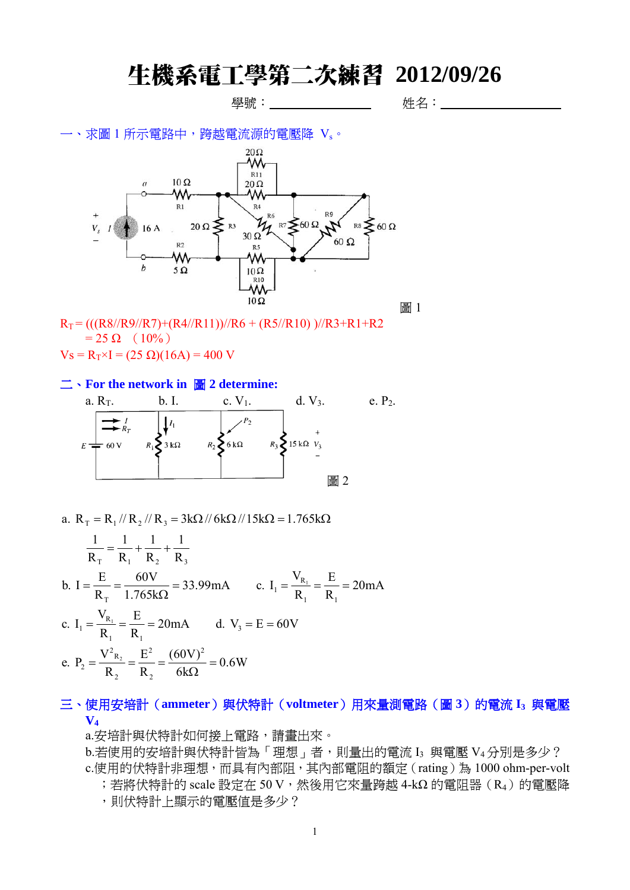# 生機系電工學第二次練習 **2012/09/26**

# 學號: 姓名:

一、求圖 1 所示電路中,跨越電流源的電壓降 Vs。



 $R_T = (((R8//R9//R7)+(R4//R11))/R6 + (R5//R10))/R3+R1+R2$  $= 25 \Omega (10\%)$ 

 $V_s = R_T \times I = (25 \Omega)(16A) = 400 V$ 

#### 二、**For the network in** 圖 **2 determine:**



a. 
$$
R_T = R_1 / / R_2 / / R_3 = 3k\Omega / / 6k\Omega / / 15k\Omega = 1.765k\Omega
$$
  
\n
$$
\frac{1}{R_T} = \frac{1}{R_1} + \frac{1}{R_2} + \frac{1}{R_3}
$$
\nb.  $I = \frac{E}{R_T} = \frac{60V}{1.765k\Omega} = 33.99mA$  c.  $I_1 = \frac{V_{R_1}}{R_1} = \frac{E}{R_1} = 20mA$   
\nc.  $I_1 = \frac{V_{R_1}}{R_1} = \frac{E}{R_1} = 20mA$  d.  $V_3 = E = 60V$   
\ne.  $P_2 = \frac{V_{R_2}}{R_2} = \frac{E^2}{R_2} = \frac{(60V)^2}{6k\Omega} = 0.6W$ 

## 三、使用安培計 (ammeter)與伏特計 (voltmeter)用來量測電路 (圖 3)的電流 I3 與電壓 **V4**

a.安培計與伏特計如何接上電路,請畫出來。

b.若使用的安培計與伏特計皆為「理想」者,則量出的電流 I3 與電壓 V4分別是多少? c.使用的伏特計非理想,而具有內部阻,其內部電阻的額定(rating)為 1000 ohm-per-volt

;若將伏特計的 scale 設定在 50 V,然後用它來量跨越 4-kΩ 的電阻器 (R<sub>4</sub>)的電壓降

,則伏特計上顯示的電壓值是多少?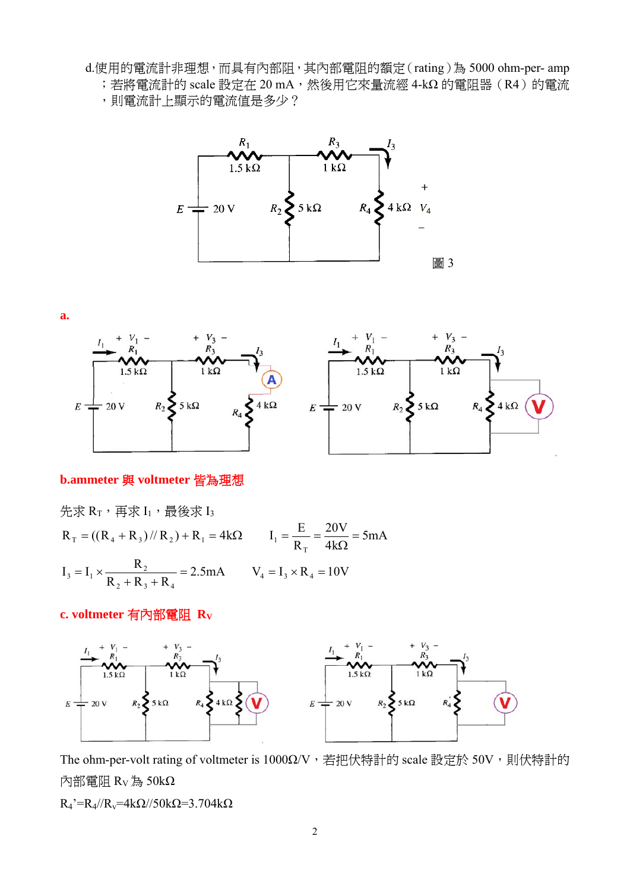d.使用的電流計非理想,而具有內部阻,其內部電阻的額定(rating)為 5000 ohm-per- amp

- ;若將電流計的 scale 設定在 20 mA,然後用它來量流經 4-kΩ 的電阻器(R4)的電流
	- ,則電流計上顯示的電流值是多少?



**a.** 



### **b.ammeter** 與 voltmeter 皆為理想

$$
\begin{aligned}\n\text{Ex } R_{\text{T}} & \cdot \overline{H} \times I_1 \cdot \overline{H} \otimes I_3 \\
R_{\text{T}} &= ((R_4 + R_3) / R_2) + R_1 = 4k\Omega \qquad I_1 = \frac{E}{R_{\text{T}}} = \frac{20V}{4k\Omega} = 5mA \\
I_3 &= I_1 \times \frac{R_2}{R_2 + R_3 + R_4} = 2.5mA \qquad V_4 = I_3 \times R_4 = 10V\n\end{aligned}
$$

### **c. voltmeter** 有內部電阻 **RV**



The ohm-per-volt rating of voltmeter is 1000Ω/V,若把伏特計的 scale 設定於 50V,則伏特計的 內部電阻 RV為 50kΩ

 $R_4 = R_4 / R_v = 4k\Omega / 50k\Omega = 3.704k\Omega$